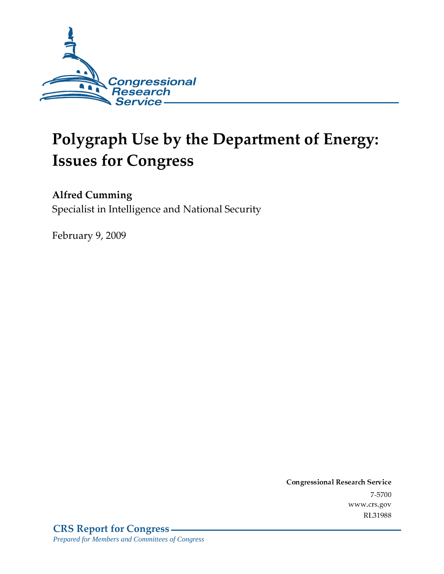

# **Polygraph Use by the Department of Energy: Issues for Congress**

### **Alfred Cumming**

Specialist in Intelligence and National Security

February 9, 2009

Conglessional Research Service  $7 - 2700$ www.crs.gov RL31988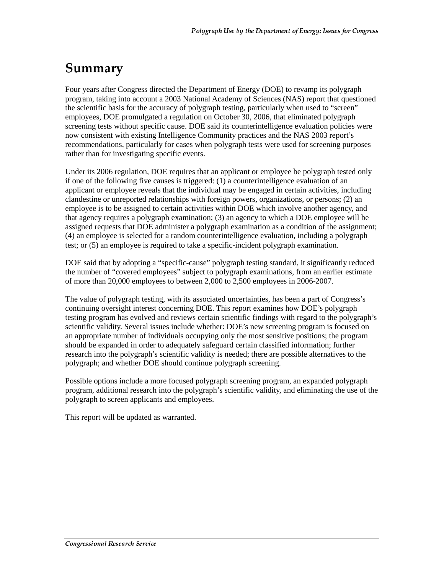### Summary

Four years after Congress directed the Department of Energy (DOE) to revamp its polygraph program, taking into account a 2003 National Academy of Sciences (NAS) report that questioned the scientific basis for the accuracy of polygraph testing, particularly when used to "screen" employees, DOE promulgated a regulation on October 30, 2006, that eliminated polygraph screening tests without specific cause. DOE said its counterintelligence evaluation policies were now consistent with existing Intelligence Community practices and the NAS 2003 report's recommendations, particularly for cases when polygraph tests were used for screening purposes rather than for investigating specific events.

Under its 2006 regulation, DOE requires that an applicant or employee be polygraph tested only if one of the following five causes is triggered: (1) a counterintelligence evaluation of an applicant or employee reveals that the individual may be engaged in certain activities, including clandestine or unreported relationships with foreign powers, organizations, or persons; (2) an employee is to be assigned to certain activities within DOE which involve another agency, and that agency requires a polygraph examination; (3) an agency to which a DOE employee will be assigned requests that DOE administer a polygraph examination as a condition of the assignment; (4) an employee is selected for a random counterintelligence evaluation, including a polygraph test; or (5) an employee is required to take a specific-incident polygraph examination.

DOE said that by adopting a "specific-cause" polygraph testing standard, it significantly reduced the number of "covered employees" subject to polygraph examinations, from an earlier estimate of more than 20,000 employees to between 2,000 to 2,500 employees in 2006-2007.

The value of polygraph testing, with its associated uncertainties, has been a part of Congress's continuing oversight interest concerning DOE. This report examines how DOE's polygraph testing program has evolved and reviews certain scientific findings with regard to the polygraph's scientific validity. Several issues include whether: DOE's new screening program is focused on an appropriate number of individuals occupying only the most sensitive positions; the program should be expanded in order to adequately safeguard certain classified information; further research into the polygraph's scientific validity is needed; there are possible alternatives to the polygraph; and whether DOE should continue polygraph screening.

Possible options include a more focused polygraph screening program, an expanded polygraph program, additional research into the polygraph's scientific validity, and eliminating the use of the polygraph to screen applicants and employees.

This report will be updated as warranted.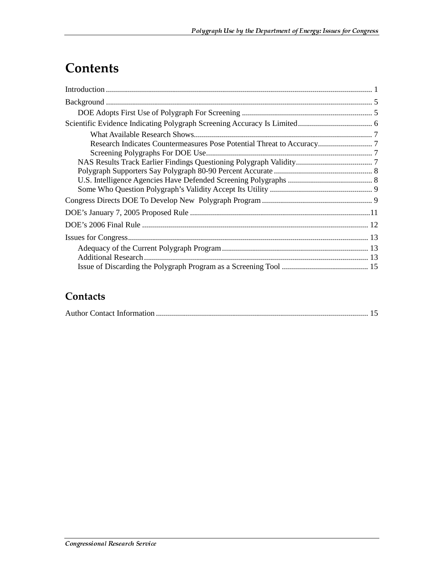## **Contents**

| Screening Polygraphs For DOE Use |  |
|----------------------------------|--|
|                                  |  |
|                                  |  |
|                                  |  |
|                                  |  |
|                                  |  |
|                                  |  |
|                                  |  |
|                                  |  |
|                                  |  |
|                                  |  |
|                                  |  |

#### Contacts

|--|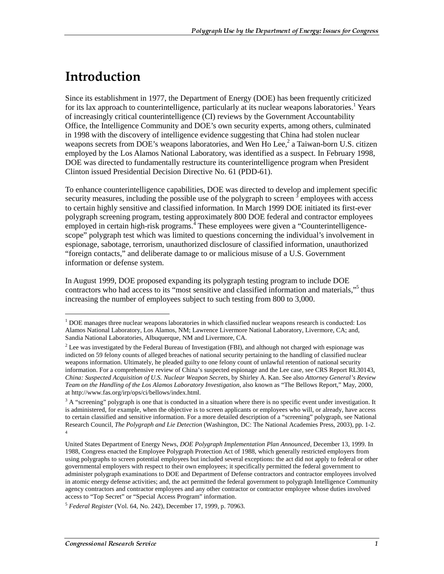### <u>Introduction</u>

j

Since its establishment in 1977, the Department of Energy (DOE) has been frequently criticized for its lax approach to counterintelligence, particularly at its nuclear weapons laboratories.<sup>1</sup> Years of increasingly critical counterintelligence (CI) reviews by the Government Accountability Office, the Intelligence Community and DOE's own security experts, among others, culminated in 1998 with the discovery of intelligence evidence suggesting that China had stolen nuclear weapons secrets from DOE's weapons laboratories, and Wen Ho Lee,<sup>2</sup> a Taiwan-born U.S. citizen employed by the Los Alamos National Laboratory, was identified as a suspect. In February 1998, DOE was directed to fundamentally restructure its counterintelligence program when President Clinton issued Presidential Decision Directive No. 61 (PDD-61).

To enhance counterintelligence capabilities, DOE was directed to develop and implement specific security measures, including the possible use of the polygraph to screen  $\delta$  employees with access to certain highly sensitive and classified information. In March 1999 DOE initiated its first-ever polygraph screening program, testing approximately 800 DOE federal and contractor employees employed in certain high-risk programs.  $\frac{4}{3}$  These employees were given a "Counterintelligencescope" polygraph test which was limited to questions concerning the individual's involvement in espionage, sabotage, terrorism, unauthorized disclosure of classified information, unauthorized "foreign contacts," and deliberate damage to or malicious misuse of a U.S. Government information or defense system.

In August 1999, DOE proposed expanding its polygraph testing program to include DOE contractors who had access to its "most sensitive and classified information and materials,"<sup>5</sup> thus increasing the number of employees subject to such testing from 800 to 3,000.

<sup>&</sup>lt;sup>1</sup> DOE manages three nuclear weapons laboratories in which classified nuclear weapons research is conducted: Los Alamos National Laboratory, Los Alamos, NM; Lawrence Livermore National Laboratory, Livermore, CA; and, Sandia National Laboratories, Albuquerque, NM and Livermore, CA.

 $2$  Lee was investigated by the Federal Bureau of Investigation (FBI), and although not charged with espionage was indicted on 59 felony counts of alleged breaches of national security pertaining to the handling of classified nuclear weapons information. Ultimately, he pleaded guilty to one felony count of unlawful retention of national security information. For a comprehensive review of China's suspected espionage and the Lee case, see CRS Report RL30143, *China: Suspected Acquisition of U.S. Nuclear Weapon Secrets*, by Shirley A. Kan. See also *Attorney General's Review Team on the Handling of the Los Alamos Laboratory Investigation*, also known as "The Bellows Report," May, 2000, at http://www.fas.org/irp/ops/ci/bellows/index.html.

 $3 A$  "screening" polygraph is one that is conducted in a situation where there is no specific event under investigation. It is administered, for example, when the objective is to screen applicants or employees who will, or already, have access to certain classified and sensitive information. For a more detailed description of a "screening" polygraph, see National Research Council, *The Polygraph and Lie Detection* (Washington, DC: The National Academies Press, 2003), pp. 1-2. 4

United States Department of Energy News, *DOE Polygraph Implementation Plan Announced*, December 13, 1999. In 1988, Congress enacted the Employee Polygraph Protection Act of 1988, which generally restricted employers from using polygraphs to screen potential employees but included several exceptions: the act did not apply to federal or other governmental employers with respect to their own employees; it specifically permitted the federal government to administer polygraph examinations to DOE and Department of Defense contractors and contractor employees involved in atomic energy defense activities; and, the act permitted the federal government to polygraph Intelligence Community agency contractors and contractor employees and any other contractor or contractor employee whose duties involved access to "Top Secret" or "Special Access Program" information.

<sup>5</sup> *Federal Register* (Vol. 64, No. 242), December 17, 1999, p. 70963.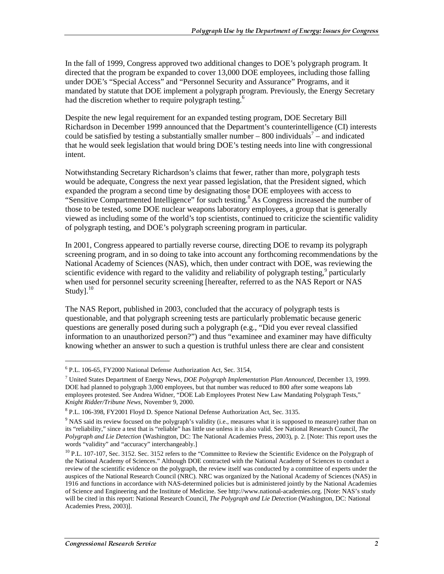In the fall of 1999, Congress approved two additional changes to DOE's polygraph program. It directed that the program be expanded to cover 13,000 DOE employees, including those falling under DOE's "Special Access" and "Personnel Security and Assurance" Programs, and it mandated by statute that DOE implement a polygraph program. Previously, the Energy Secretary had the discretion whether to require polygraph testing.<sup>6</sup>

Despite the new legal requirement for an expanded testing program, DOE Secretary Bill Richardson in December 1999 announced that the Department's counterintelligence (CI) interests could be satisfied by testing a substantially smaller number  $-800$  individuals<sup>7</sup> – and indicated that he would seek legislation that would bring DOE's testing needs into line with congressional intent.

Notwithstanding Secretary Richardson's claims that fewer, rather than more, polygraph tests would be adequate, Congress the next year passed legislation, that the President signed, which expanded the program a second time by designating those DOE employees with access to "Sensitive Compartmented Intelligence" for such testing.<sup>8</sup> As Congress increased the number of those to be tested, some DOE nuclear weapons laboratory employees, a group that is generally viewed as including some of the world's top scientists, continued to criticize the scientific validity of polygraph testing, and DOE's polygraph screening program in particular.

In 2001, Congress appeared to partially reverse course, directing DOE to revamp its polygraph screening program, and in so doing to take into account any forthcoming recommendations by the National Academy of Sciences (NAS), which, then under contract with DOE, was reviewing the scientific evidence with regard to the validity and reliability of polygraph testing,<sup>9</sup> particularly when used for personnel security screening [hereafter, referred to as the NAS Report or NAS Study]. $^{10}$ 

The NAS Report, published in 2003, concluded that the accuracy of polygraph tests is questionable, and that polygraph screening tests are particularly problematic because generic questions are generally posed during such a polygraph (e.g., "Did you ever reveal classified information to an unauthorized person?") and thus "examinee and examiner may have difficulty knowing whether an answer to such a question is truthful unless there are clear and consistent

<sup>6</sup> P.L. 106-65, FY2000 National Defense Authorization Act, Sec. 3154,

<sup>7</sup> United States Department of Energy News, *DOE Polygraph Implementation Plan Announced*, December 13, 1999. DOE had planned to polygraph 3,000 employees, but that number was reduced to 800 after some weapons lab employees protested. See Andrea Widner, "DOE Lab Employees Protest New Law Mandating Polygraph Tests," *Knight Ridder/Tribune News*, November 9, 2000.

<sup>&</sup>lt;sup>8</sup> P.L. 106-398, FY2001 Floyd D. Spence National Defense Authorization Act, Sec. 3135.

<sup>&</sup>lt;sup>9</sup> NAS said its review focused on the polygraph's validity (i.e., measures what it is supposed to measure) rather than on its "reliability," since a test that is "reliable" has little use unless it is also valid. See National Research Council, *The Polygraph and Lie Detection* (Washington, DC: The National Academies Press, 2003), p. 2. [Note: This report uses the words "validity" and "accuracy" interchangeably.]

<sup>&</sup>lt;sup>10</sup> P.L. 107-107, Sec. 3152. Sec. 3152 refers to the "Committee to Review the Scientific Evidence on the Polygraph of the National Academy of Sciences." Although DOE contracted with the National Academy of Sciences to conduct a review of the scientific evidence on the polygraph, the review itself was conducted by a committee of experts under the auspices of the National Research Council (NRC). NRC was organized by the National Academy of Sciences (NAS) in 1916 and functions in accordance with NAS-determined policies but is administered jointly by the National Academies of Science and Engineering and the Institute of Medicine. See http://www.national-academies.org. [Note: NAS's study will be cited in this report: National Research Council, *The Polygraph and Lie Detection* (Washington, DC: National Academies Press, 2003)].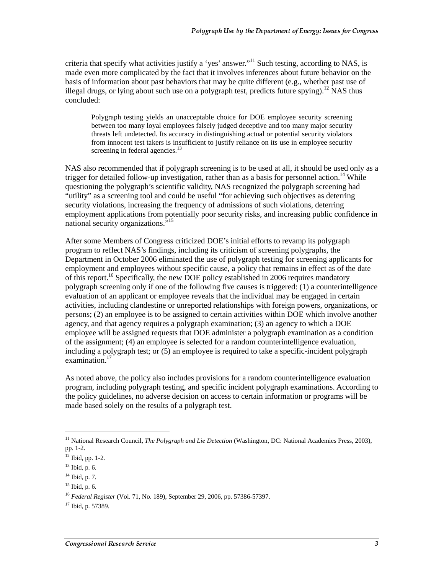criteria that specify what activities justify a 'yes' answer."<sup>11</sup> Such testing, according to NAS, is made even more complicated by the fact that it involves inferences about future behavior on the basis of information about past behaviors that may be quite different (e.g., whether past use of illegal drugs, or lying about such use on a polygraph test, predicts future spying).<sup>12</sup> NAS thus concluded:

Polygraph testing yields an unacceptable choice for DOE employee security screening between too many loyal employees falsely judged deceptive and too many major security threats left undetected. Its accuracy in distinguishing actual or potential security violators from innocent test takers is insufficient to justify reliance on its use in employee security screening in federal agencies. $13$ 

NAS also recommended that if polygraph screening is to be used at all, it should be used only as a trigger for detailed follow-up investigation, rather than as a basis for personnel action.<sup>14</sup> While questioning the polygraph's scientific validity, NAS recognized the polygraph screening had "utility" as a screening tool and could be useful "for achieving such objectives as deterring security violations, increasing the frequency of admissions of such violations, deterring employment applications from potentially poor security risks, and increasing public confidence in national security organizations."15

After some Members of Congress criticized DOE's initial efforts to revamp its polygraph program to reflect NAS's findings, including its criticism of screening polygraphs, the Department in October 2006 eliminated the use of polygraph testing for screening applicants for employment and employees without specific cause, a policy that remains in effect as of the date of this report.<sup>16</sup> Specifically, the new DOE policy established in 2006 requires mandatory polygraph screening only if one of the following five causes is triggered: (1) a counterintelligence evaluation of an applicant or employee reveals that the individual may be engaged in certain activities, including clandestine or unreported relationships with foreign powers, organizations, or persons; (2) an employee is to be assigned to certain activities within DOE which involve another agency, and that agency requires a polygraph examination; (3) an agency to which a DOE employee will be assigned requests that DOE administer a polygraph examination as a condition of the assignment; (4) an employee is selected for a random counterintelligence evaluation, including a polygraph test; or (5) an employee is required to take a specific-incident polygraph examination.<sup>17</sup>

As noted above, the policy also includes provisions for a random counterintelligence evaluation program, including polygraph testing, and specific incident polygraph examinations. According to the policy guidelines, no adverse decision on access to certain information or programs will be made based solely on the results of a polygraph test.

<sup>11</sup> National Research Council, *The Polygraph and Lie Detection* (Washington, DC: National Academies Press, 2003), pp. 1-2.

 $12$  Ibid, pp. 1-2.

 $13$  Ibid, p. 6.

<sup>14</sup> Ibid, p. 7.

 $15$  Ibid, p. 6.

<sup>16</sup> *Federal Register* (Vol. 71, No. 189), September 29, 2006, pp. 57386-57397.

<sup>17</sup> Ibid, p. 57389.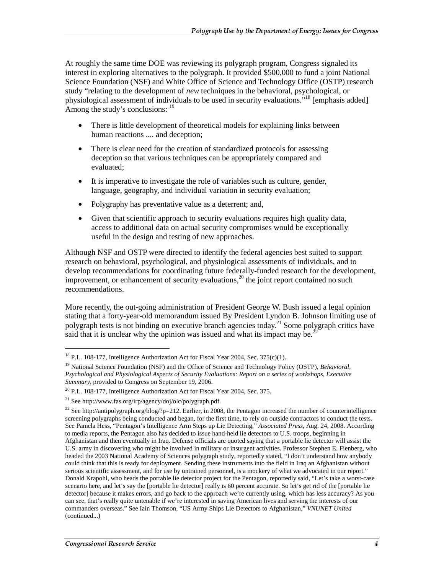At roughly the same time DOE was reviewing its polygraph program, Congress signaled its interest in exploring alternatives to the polygraph. It provided \$500,000 to fund a joint National Science Foundation (NSF) and White Office of Science and Technology Office (OSTP) research study "relating to the development of *new* techniques in the behavioral, psychological, or physiological assessment of individuals to be used in security evaluations."18 [emphasis added] Among the study's conclusions: <sup>19</sup>

- There is little development of theoretical models for explaining links between human reactions .... and deception;
- There is clear need for the creation of standardized protocols for assessing deception so that various techniques can be appropriately compared and evaluated;
- It is imperative to investigate the role of variables such as culture, gender, language, geography, and individual variation in security evaluation;
- Polygraphy has preventative value as a deterrent; and,
- Given that scientific approach to security evaluations requires high quality data, access to additional data on actual security compromises would be exceptionally useful in the design and testing of new approaches.

Although NSF and OSTP were directed to identify the federal agencies best suited to support research on behavioral, psychological, and physiological assessments of individuals, and to develop recommendations for coordinating future federally-funded research for the development, improvement, or enhancement of security evaluations,<sup>20</sup> the joint report contained no such recommendations.

More recently, the out-going administration of President George W. Bush issued a legal opinion stating that a forty-year-old memorandum issued By President Lyndon B. Johnson limiting use of polygraph tests is not binding on executive branch agencies today.21 Some polygraph critics have said that it is unclear why the opinion was issued and what its impact may be.<sup>22</sup>

<sup>&</sup>lt;sup>18</sup> P.L. 108-177, Intelligence Authorization Act for Fiscal Year 2004, Sec. 375(c)(1).

<sup>19</sup> National Science Foundation (NSF) and the Office of Science and Technology Policy (OSTP), *Behavioral, Psychological and Physiological Aspects of Security Evaluations: Report on a series of workshops, Executive Summary*, provided to Congress on September 19, 2006.

<sup>&</sup>lt;sup>20</sup> P.L. 108-177, Intelligence Authorization Act for Fiscal Year 2004, Sec. 375.

<sup>21</sup> See http://www.fas.org/irp/agency/doj/olc/polygraph.pdf.

<sup>&</sup>lt;sup>22</sup> See http://antipolygraph.org/blog/?p=212. Earlier, in 2008, the Pentagon increased the number of counterintelligence screening polygraphs being conducted and began, for the first time, to rely on outside contractors to conduct the tests. See Pamela Hess, "Pentagon's Intelligence Arm Steps up Lie Detecting," *Associated Press*, Aug. 24, 2008. According to media reports, the Pentagon also has decided to issue hand-held lie detectors to U.S. troops, beginning in Afghanistan and then eventually in Iraq. Defense officials are quoted saying that a portable lie detector will assist the U.S. army in discovering who might be involved in military or insurgent activities. Professor Stephen E. Fienberg, who headed the 2003 National Academy of Sciences polygraph study, reportedly stated, "I don't understand how anybody could think that this is ready for deployment. Sending these instruments into the field in Iraq an Afghanistan without serious scientific assessment, and for use by untrained personnel, is a mockery of what we advocated in our report." Donald Krapohl, who heads the portable lie detector project for the Pentagon, reportedly said, "Let's take a worst-case scenario here, and let's say the [portable lie detector] really is 60 percent accurate. So let's get rid of the [portable lie detector] because it makes errors, and go back to the approach we're currently using, which has less accuracy? As you can see, that's really quite untenable if we're interested in saving American lives and serving the interests of our commanders overseas." See Iain Thomson, "US Army Ships Lie Detectors to Afghanistan," *VNUNET United*  (continued...)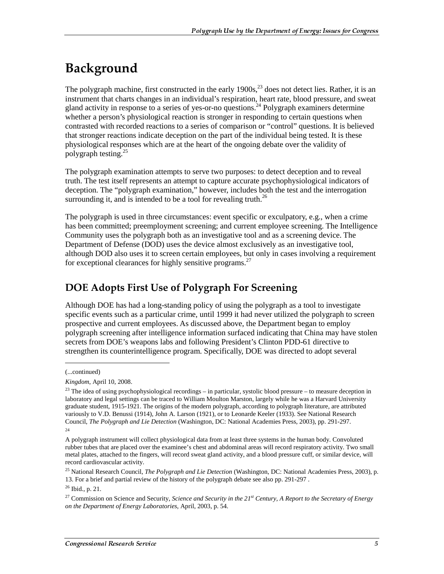## Background

The polygraph machine, first constructed in the early  $1900s$ ,<sup>23</sup> does not detect lies. Rather, it is an instrument that charts changes in an individual's respiration, heart rate, blood pressure, and sweat gland activity in response to a series of yes-or-no questions.<sup>24</sup> Polygraph examiners determine whether a person's physiological reaction is stronger in responding to certain questions when contrasted with recorded reactions to a series of comparison or "control" questions. It is believed that stronger reactions indicate deception on the part of the individual being tested. It is these physiological responses which are at the heart of the ongoing debate over the validity of polygraph testing.25

The polygraph examination attempts to serve two purposes: to detect deception and to reveal truth. The test itself represents an attempt to capture accurate psychophysiological indicators of deception. The "polygraph examination," however, includes both the test and the interrogation surrounding it, and is intended to be a tool for revealing truth.<sup>26</sup>

The polygraph is used in three circumstances: event specific or exculpatory, e.g., when a crime has been committed; preemployment screening; and current employee screening. The Intelligence Community uses the polygraph both as an investigative tool and as a screening device. The Department of Defense (DOD) uses the device almost exclusively as an investigative tool, although DOD also uses it to screen certain employees, but only in cases involving a requirement for exceptional clearances for highly sensitive programs.<sup>27</sup>

### **DOE Adopts First Use of Polygraph For Screening**

Although DOE has had a long-standing policy of using the polygraph as a tool to investigate specific events such as a particular crime, until 1999 it had never utilized the polygraph to screen prospective and current employees. As discussed above, the Department began to employ polygraph screening after intelligence information surfaced indicating that China may have stolen secrets from DOE's weapons labs and following President's Clinton PDD-61 directive to strengthen its counterintelligence program. Specifically, DOE was directed to adopt several

<sup>(...</sup>continued)

*Kingdom*, April 10, 2008.

 $23$  The idea of using psychophysiological recordings – in particular, systolic blood pressure – to measure deception in laboratory and legal settings can be traced to William Moulton Marston, largely while he was a Harvard University graduate student, 1915-1921. The origins of the modern polygraph, according to polygraph literature, are attributed variously to V.D. Benussi (1914), John A. Larson (1921), or to Leonarde Keeler (1933). See National Research Council, *The Polygraph and Lie Detection* (Washington, DC: National Academies Press, 2003), pp. 291-297. 24

A polygraph instrument will collect physiological data from at least three systems in the human body. Convoluted rubber tubes that are placed over the examinee's chest and abdominal areas will record respiratory activity. Two small metal plates, attached to the fingers, will record sweat gland activity, and a blood pressure cuff, or similar device, will record cardiovascular activity.

<sup>25</sup> National Research Council, *The Polygraph and Lie Detection* (Washington, DC: National Academies Press, 2003), p. 13. For a brief and partial review of the history of the polygraph debate see also pp. 291-297 .

<sup>26</sup> Ibid., p. 21.

<sup>27</sup> Commission on Science and Security, *Science and Security in the 21st Century, A Report to the Secretary of Energy on the Department of Energy Laboratories*, April, 2003, p. 54.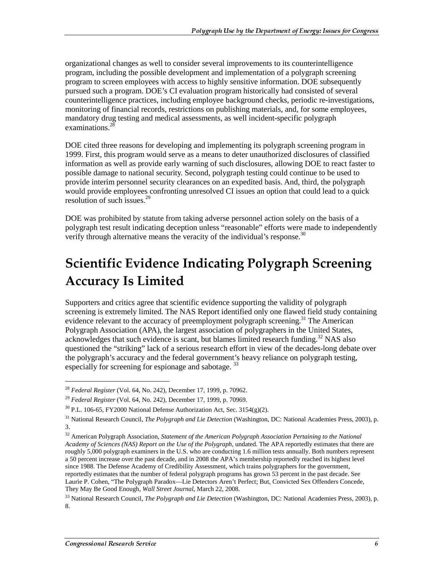organizational changes as well to consider several improvements to its counterintelligence program, including the possible development and implementation of a polygraph screening program to screen employees with access to highly sensitive information. DOE subsequently pursued such a program. DOE's CI evaluation program historically had consisted of several counterintelligence practices, including employee background checks, periodic re-investigations, monitoring of financial records, restrictions on publishing materials, and, for some employees, mandatory drug testing and medical assessments, as well incident-specific polygraph examinations.<sup>28</sup>

DOE cited three reasons for developing and implementing its polygraph screening program in 1999. First, this program would serve as a means to deter unauthorized disclosures of classified information as well as provide early warning of such disclosures, allowing DOE to react faster to possible damage to national security. Second, polygraph testing could continue to be used to provide interim personnel security clearances on an expedited basis. And, third, the polygraph would provide employees confronting unresolved CI issues an option that could lead to a quick resolution of such issues.29

DOE was prohibited by statute from taking adverse personnel action solely on the basis of a polygraph test result indicating deception unless "reasonable" efforts were made to independently verify through alternative means the veracity of the individual's response.<sup>30</sup>

## Scientific Evidence Indicating Polygraph Screening **Accuracy Is Limited**

Supporters and critics agree that scientific evidence supporting the validity of polygraph screening is extremely limited. The NAS Report identified only one flawed field study containing evidence relevant to the accuracy of preemployment polygraph screening.<sup>31</sup> The American Polygraph Association (APA), the largest association of polygraphers in the United States, acknowledges that such evidence is scant, but blames limited research funding.<sup>32</sup> NAS also questioned the "striking" lack of a serious research effort in view of the decades-long debate over the polygraph's accuracy and the federal government's heavy reliance on polygraph testing, especially for screening for espionage and sabotage.<sup>33</sup>

<sup>28</sup> *Federal Register* (Vol. 64, No. 242), December 17, 1999, p. 70962.

<sup>29</sup> *Federal Register* (Vol. 64, No. 242), December 17, 1999, p. 70969.

 $30$  P.L. 106-65, FY2000 National Defense Authorization Act, Sec. 3154(g)(2).

<sup>31</sup> National Research Council, *The Polygraph and Lie Detection* (Washington, DC: National Academies Press, 2003), p. 3.

<sup>32</sup> American Polygraph Association, *Statement of the American Polygraph Association Pertaining to the National Academy of Sciences (NAS) Report on the Use of the Polygraph*, undated. The APA reportedly estimates that there are roughly 5,000 polygraph examiners in the U.S. who are conducting 1.6 million tests annually. Both numbers represent a 50 percent increase over the past decade, and in 2008 the APA's membership reportedly reached its highest level since 1988. The Defense Academy of Credibility Assessment, which trains polygraphers for the government, reportedly estimates that the number of federal polygraph programs has grown 53 percent in the past decade. See Laurie P. Cohen, "The Polygraph Paradox—Lie Detectors Aren't Perfect; But, Convicted Sex Offenders Concede, They May Be Good Enough, *Wall Street Journal*, March 22, 2008.

<sup>33</sup> National Research Council, *The Polygraph and Lie Detection* (Washington, DC: National Academies Press, 2003), p. 8.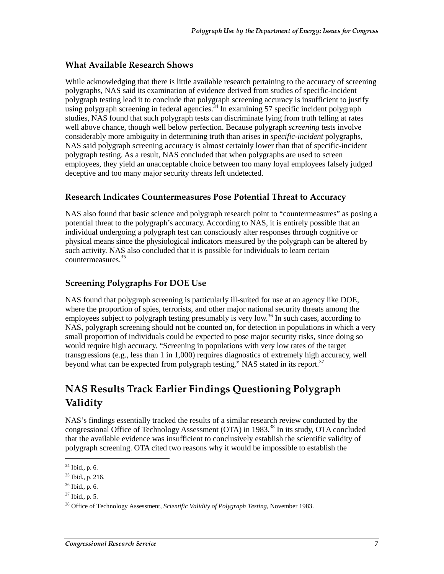#### **What Available Research Shows**

While acknowledging that there is little available research pertaining to the accuracy of screening polygraphs, NAS said its examination of evidence derived from studies of specific-incident polygraph testing lead it to conclude that polygraph screening accuracy is insufficient to justify using polygraph screening in federal agencies.<sup>34</sup> In examining 57 specific incident polygraph studies, NAS found that such polygraph tests can discriminate lying from truth telling at rates well above chance, though well below perfection. Because polygraph *screening* tests involve considerably more ambiguity in determining truth than arises in *specific-incident* polygraphs, NAS said polygraph screening accuracy is almost certainly lower than that of specific-incident polygraph testing. As a result, NAS concluded that when polygraphs are used to screen employees, they yield an unacceptable choice between too many loyal employees falsely judged deceptive and too many major security threats left undetected.

#### Research Indicates Countermeasures Pose Potential Threat to Accuracy

NAS also found that basic science and polygraph research point to "countermeasures" as posing a potential threat to the polygraph's accuracy. According to NAS, it is entirely possible that an individual undergoing a polygraph test can consciously alter responses through cognitive or physical means since the physiological indicators measured by the polygraph can be altered by such activity. NAS also concluded that it is possible for individuals to learn certain countermeasures.35

#### Screening Polygraphs For DOE Use

NAS found that polygraph screening is particularly ill-suited for use at an agency like DOE, where the proportion of spies, terrorists, and other major national security threats among the employees subject to polygraph testing presumably is very low.<sup>36</sup> In such cases, according to NAS, polygraph screening should not be counted on, for detection in populations in which a very small proportion of individuals could be expected to pose major security risks, since doing so would require high accuracy. "Screening in populations with very low rates of the target transgressions (e.g., less than 1 in 1,000) requires diagnostics of extremely high accuracy, well beyond what can be expected from polygraph testing," NAS stated in its report.<sup>37</sup>

### NAS Results Track Earlier Findings Questioning Polygraph Validity

NAS's findings essentially tracked the results of a similar research review conducted by the congressional Office of Technology Assessment (OTA) in 1983.<sup>38</sup> In its study, OTA concluded that the available evidence was insufficient to conclusively establish the scientific validity of polygraph screening. OTA cited two reasons why it would be impossible to establish the

<sup>34</sup> Ibid., p. 6.

 $35$  Ibid., p. 216.

<sup>36</sup> Ibid., p. 6.

 $37$  Ibid., p. 5.

<sup>38</sup> Office of Technology Assessment, *Scientific Validity of Polygraph Testing,* November 1983.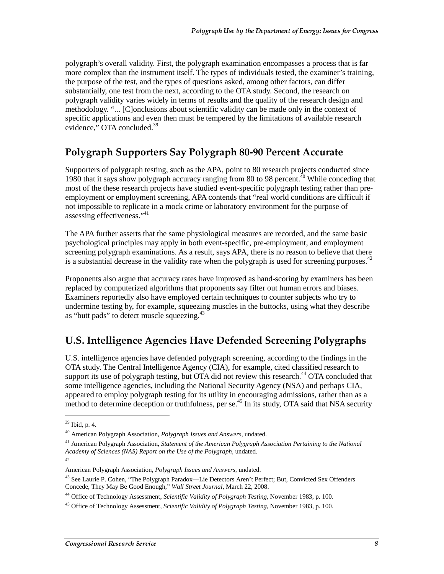polygraph's overall validity. First, the polygraph examination encompasses a process that is far more complex than the instrument itself. The types of individuals tested, the examiner's training, the purpose of the test, and the types of questions asked, among other factors, can differ substantially, one test from the next, according to the OTA study. Second, the research on polygraph validity varies widely in terms of results and the quality of the research design and methodology. "... [C]onclusions about scientific validity can be made only in the context of specific applications and even then must be tempered by the limitations of available research evidence," OTA concluded.<sup>39</sup>

### Polygraph Supporters Say Polygraph 80-90 Percent Accurate

Supporters of polygraph testing, such as the APA, point to 80 research projects conducted since 1980 that it says show polygraph accuracy ranging from 80 to 98 percent.<sup>40</sup> While conceding that most of the these research projects have studied event-specific polygraph testing rather than preemployment or employment screening, APA contends that "real world conditions are difficult if not impossible to replicate in a mock crime or laboratory environment for the purpose of assessing effectiveness."<sup>41</sup>

The APA further asserts that the same physiological measures are recorded, and the same basic psychological principles may apply in both event-specific, pre-employment, and employment screening polygraph examinations. As a result, says APA, there is no reason to believe that there is a substantial decrease in the validity rate when the polygraph is used for screening purposes. $42$ 

Proponents also argue that accuracy rates have improved as hand-scoring by examiners has been replaced by computerized algorithms that proponents say filter out human errors and biases. Examiners reportedly also have employed certain techniques to counter subjects who try to undermine testing by, for example, squeezing muscles in the buttocks, using what they describe as "butt pads" to detect muscle squeezing.<sup>43</sup>

#### U.S. Intelligence Agencies Have Defended Screening Polygraphs

U.S. intelligence agencies have defended polygraph screening, according to the findings in the OTA study. The Central Intelligence Agency (CIA), for example, cited classified research to support its use of polygraph testing, but OTA did not review this research.<sup>44</sup> OTA concluded that some intelligence agencies, including the National Security Agency (NSA) and perhaps CIA, appeared to employ polygraph testing for its utility in encouraging admissions, rather than as a method to determine deception or truthfulness, per se.<sup>45</sup> In its study, OTA said that NSA security

42

<sup>39</sup> Ibid, p. 4.

<sup>40</sup> American Polygraph Association, *Polygraph Issues and Answers*, undated.

<sup>41</sup> American Polygraph Association, *Statement of the American Polygraph Association Pertaining to the National Academy of Sciences (NAS) Report on the Use of the Polygraph*, undated.

American Polygraph Association, *Polygraph Issues and Answers*, undated.

<sup>43</sup> See Laurie P. Cohen, "The Polygraph Paradox—Lie Detectors Aren't Perfect; But, Convicted Sex Offenders Concede, They May Be Good Enough," *Wall Street Journal*, March 22, 2008.

<sup>44</sup> Office of Technology Assessment, *Scientific Validity of Polygraph Testing,* November 1983, p. 100.

<sup>45</sup> Office of Technology Assessment, *Scientific Validity of Polygraph Testing,* November 1983, p. 100.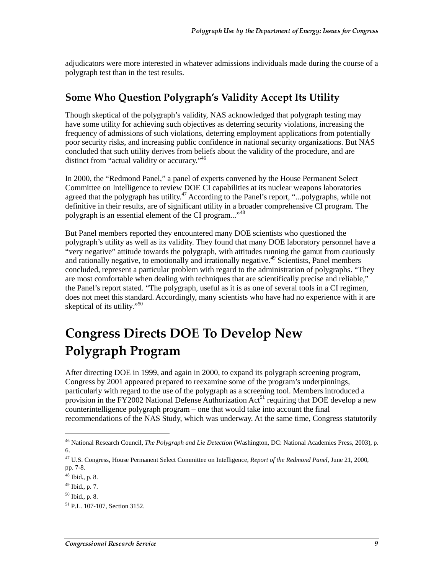adjudicators were more interested in whatever admissions individuals made during the course of a polygraph test than in the test results.

#### Some Who Question Polygraph's Validity Accept Its Utility

Though skeptical of the polygraph's validity, NAS acknowledged that polygraph testing may have some utility for achieving such objectives as deterring security violations, increasing the frequency of admissions of such violations, deterring employment applications from potentially poor security risks, and increasing public confidence in national security organizations. But NAS concluded that such utility derives from beliefs about the validity of the procedure, and are distinct from "actual validity or accuracy."46

In 2000, the "Redmond Panel," a panel of experts convened by the House Permanent Select Committee on Intelligence to review DOE CI capabilities at its nuclear weapons laboratories agreed that the polygraph has utility.<sup>47</sup> According to the Panel's report, "...polygraphs, while not definitive in their results, are of significant utility in a broader comprehensive CI program. The polygraph is an essential element of the CI program..."<sup>48</sup>

But Panel members reported they encountered many DOE scientists who questioned the polygraph's utility as well as its validity. They found that many DOE laboratory personnel have a "very negative" attitude towards the polygraph, with attitudes running the gamut from cautiously and rationally negative, to emotionally and irrationally negative.<sup>49</sup> Scientists, Panel members concluded, represent a particular problem with regard to the administration of polygraphs. "They are most comfortable when dealing with techniques that are scientifically precise and reliable," the Panel's report stated. "The polygraph, useful as it is as one of several tools in a CI regimen, does not meet this standard. Accordingly, many scientists who have had no experience with it are skeptical of its utility."<sup>50</sup>

## Congress Directs DOE To Develop New  $\,$ Polygraph Program

After directing DOE in 1999, and again in 2000, to expand its polygraph screening program, Congress by 2001 appeared prepared to reexamine some of the program's underpinnings, particularly with regard to the use of the polygraph as a screening tool. Members introduced a provision in the FY2002 National Defense Authorization Act<sup>51</sup> requiring that DOE develop a new counterintelligence polygraph program – one that would take into account the final recommendations of the NAS Study, which was underway. At the same time, Congress statutorily

<sup>46</sup> National Research Council, *The Polygraph and Lie Detection* (Washington, DC: National Academies Press, 2003), p. 6.

<sup>47</sup> U.S. Congress, House Permanent Select Committee on Intelligence, *Report of the Redmond Panel*, June 21, 2000, pp. 7-8.

 $48$  Ibid., p. 8.

<sup>49</sup> Ibid., p. 7.

<sup>50</sup> Ibid., p. 8.

<sup>51</sup> P.L. 107-107, Section 3152.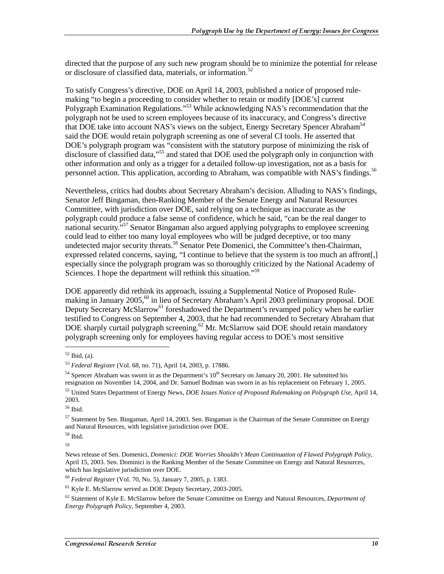directed that the purpose of any such new program should be to minimize the potential for release or disclosure of classified data, materials, or information.<sup>52</sup>

To satisfy Congress's directive, DOE on April 14, 2003, published a notice of proposed rulemaking "to begin a proceeding to consider whether to retain or modify [DOE's] current Polygraph Examination Regulations."<sup>53</sup> While acknowledging NAS's recommendation that the polygraph not be used to screen employees because of its inaccuracy, and Congress's directive that DOE take into account NAS's views on the subject, Energy Secretary Spencer Abraham<sup>54</sup> said the DOE would retain polygraph screening as one of several CI tools. He asserted that DOE's polygraph program was "consistent with the statutory purpose of minimizing the risk of disclosure of classified data,"<sup>55</sup> and stated that DOE used the polygraph only in conjunction with other information and only as a trigger for a detailed follow-up investigation, not as a basis for personnel action. This application, according to Abraham, was compatible with NAS's findings.<sup>56</sup>

Nevertheless, critics had doubts about Secretary Abraham's decision. Alluding to NAS's findings, Senator Jeff Bingaman, then-Ranking Member of the Senate Energy and Natural Resources Committee, with jurisdiction over DOE, said relying on a technique as inaccurate as the polygraph could produce a false sense of confidence, which he said, "can be the real danger to national security.<sup>557</sup> Senator Bingaman also argued applying polygraphs to employee screening could lead to either too many loyal employees who will be judged deceptive, or too many undetected major security threats.<sup>58</sup> Senator Pete Domenici, the Committee's then-Chairman, expressed related concerns, saying, "I continue to believe that the system is too much an affront[,] especially since the polygraph program was so thoroughly criticized by the National Academy of Sciences. I hope the department will rethink this situation."<sup>59</sup>

DOE apparently did rethink its approach, issuing a Supplemental Notice of Proposed Rulemaking in January 2005.<sup>60</sup> in lieu of Secretary Abraham's April 2003 preliminary proposal. DOE Deputy Secretary McSlarrow<sup>61</sup> foreshadowed the Department's revamped policy when he earlier testified to Congress on September 4, 2003, that he had recommended to Secretary Abraham that DOE sharply curtail polygraph screening.<sup>62</sup> Mr. McSlarrow said DOE should retain mandatory polygraph screening only for employees having regular access to DOE's most sensitive

j

56 Ibid.

58 Ibid.

<sup>52</sup> Ibid, (a).

<sup>53</sup> *Federal Register* (Vol. 68, no. 71), April 14, 2003, p. 17886.

 $54$  Spencer Abraham was sworn in as the Department's  $10<sup>th</sup>$  Secretary on January 20, 2001. He submitted his resignation on November 14, 2004, and Dr. Samuel Bodman was sworn in as his replacement on February 1, 2005.

<sup>55</sup> United States Department of Energy News, *DOE Issues Notice of Proposed Rulemaking on Polygraph Use*, April 14, 2003.

 $57$  Statement by Sen. Bingaman, April 14, 2003. Sen. Bingaman is the Chairman of the Senate Committee on Energy and Natural Resources, with legislative jurisdiction over DOE.

<sup>59</sup>

News release of Sen. Domenici, *Domenici: DOE Worries Shouldn't Mean Continuation of Flawed Polygraph Policy*, April 15, 2003. Sen. Dominici is the Ranking Member of the Senate Committee on Energy and Natural Resources, which has legislative jurisdiction over DOE.

<sup>60</sup> *Federal Register* (Vol. 70, No. 5), January 7, 2005, p. 1383.

<sup>61</sup> Kyle E. McSlarrow served as DOE Deputy Secretary, 2003-2005.

<sup>62</sup> Statement of Kyle E. McSlarrow before the Senate Committee on Energy and Natural Resources, *Department of Energy Polygraph Policy*, September 4, 2003.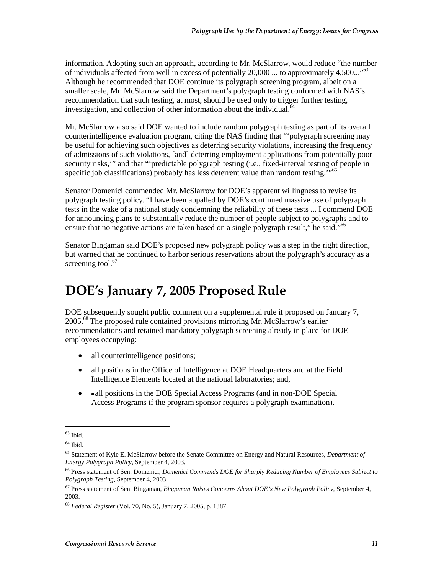information. Adopting such an approach, according to Mr. McSlarrow, would reduce "the number of individuals affected from well in excess of potentially  $20,000$  ... to approximately  $4,500...$ <sup>63</sup> Although he recommended that DOE continue its polygraph screening program, albeit on a smaller scale, Mr. McSlarrow said the Department's polygraph testing conformed with NAS's recommendation that such testing, at most, should be used only to trigger further testing, investigation, and collection of other information about the individual.<sup>64</sup>

Mr. McSlarrow also said DOE wanted to include random polygraph testing as part of its overall counterintelligence evaluation program, citing the NAS finding that "'polygraph screening may be useful for achieving such objectives as deterring security violations, increasing the frequency of admissions of such violations, [and] deterring employment applications from potentially poor security risks," and that "'predictable polygraph testing (i.e., fixed-interval testing of people in specific job classifications) probably has less deterrent value than random testing."<sup>65</sup>

Senator Domenici commended Mr. McSlarrow for DOE's apparent willingness to revise its polygraph testing policy. "I have been appalled by DOE's continued massive use of polygraph tests in the wake of a national study condemning the reliability of these tests ... I commend DOE for announcing plans to substantially reduce the number of people subject to polygraphs and to ensure that no negative actions are taken based on a single polygraph result," he said."<sup>66</sup>

Senator Bingaman said DOE's proposed new polygraph policy was a step in the right direction, but warned that he continued to harbor serious reservations about the polygraph's accuracy as a screening tool. $67$ 

## DOE's January 7, 2005 Proposed Rule

DOE subsequently sought public comment on a supplemental rule it proposed on January 7, 2005.<sup>68</sup> The proposed rule contained provisions mirroring Mr. McSlarrow's earlier recommendations and retained mandatory polygraph screening already in place for DOE employees occupying:

- all counterintelligence positions;
- all positions in the Office of Intelligence at DOE Headquarters and at the Field Intelligence Elements located at the national laboratories; and,
- • all positions in the DOE Special Access Programs (and in non-DOE Special Access Programs if the program sponsor requires a polygraph examination).

 $\overline{a}$ 

 $63$  Ibid.

 $64$  Ibid.

<sup>65</sup> Statement of Kyle E. McSlarrow before the Senate Committee on Energy and Natural Resources, *Department of Energy Polygraph Policy*, September 4, 2003.

<sup>66</sup> Press statement of Sen. Domenici, *Domenici Commends DOE for Sharply Reducing Number of Employees Subject to Polygraph Testing*, September 4, 2003.

<sup>67</sup> Press statement of Sen. Bingaman, *Bingaman Raises Concerns About DOE's New Polygraph Policy*, September 4, 2003.

<sup>68</sup> *Federal Register* (Vol. 70, No. 5), January 7, 2005, p. 1387.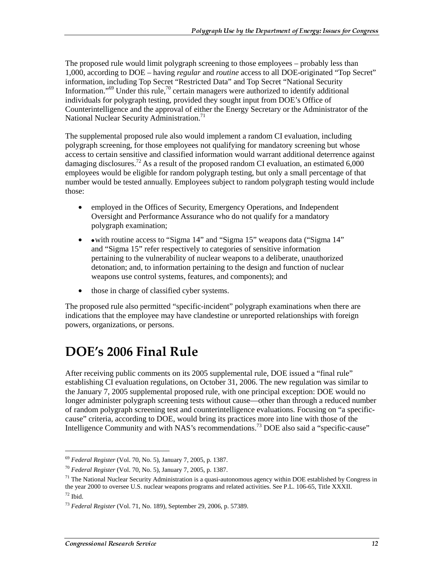The proposed rule would limit polygraph screening to those employees – probably less than 1,000, according to DOE – having *regular* and *routine* access to all DOE-originated "Top Secret" information, including Top Secret "Restricted Data" and Top Secret "National Security Information."<sup>69</sup> Under this rule,<sup>70</sup> certain managers were authorized to identify additional individuals for polygraph testing, provided they sought input from DOE's Office of Counterintelligence and the approval of either the Energy Secretary or the Administrator of the National Nuclear Security Administration.<sup>71</sup>

The supplemental proposed rule also would implement a random CI evaluation, including polygraph screening, for those employees not qualifying for mandatory screening but whose access to certain sensitive and classified information would warrant additional deterrence against damaging disclosures.<sup>72</sup> As a result of the proposed random CI evaluation, an estimated 6,000 employees would be eligible for random polygraph testing, but only a small percentage of that number would be tested annually. Employees subject to random polygraph testing would include those:

- employed in the Offices of Security, Emergency Operations, and Independent Oversight and Performance Assurance who do not qualify for a mandatory polygraph examination;
- • with routine access to "Sigma 14" and "Sigma 15" weapons data ("Sigma 14" and "Sigma 15" refer respectively to categories of sensitive information pertaining to the vulnerability of nuclear weapons to a deliberate, unauthorized detonation; and, to information pertaining to the design and function of nuclear weapons use control systems, features, and components); and
- those in charge of classified cyber systems.

The proposed rule also permitted "specific-incident" polygraph examinations when there are indications that the employee may have clandestine or unreported relationships with foreign powers, organizations, or persons.

### DOE's 2006 Final Rule

After receiving public comments on its 2005 supplemental rule, DOE issued a "final rule" establishing CI evaluation regulations, on October 31, 2006. The new regulation was similar to the January 7, 2005 supplemental proposed rule, with one principal exception: DOE would no longer administer polygraph screening tests without cause—other than through a reduced number of random polygraph screening test and counterintelligence evaluations. Focusing on "a specificcause" criteria, according to DOE, would bring its practices more into line with those of the Intelligence Community and with NAS's recommendations.73 DOE also said a "specific-cause"

 $\overline{a}$ 

<sup>69</sup> *Federal Register* (Vol. 70, No. 5), January 7, 2005, p. 1387.

<sup>70</sup> *Federal Register* (Vol. 70, No. 5), January 7, 2005, p. 1387.

 $71$  The National Nuclear Security Administration is a quasi-autonomous agency within DOE established by Congress in the year 2000 to oversee U.S. nuclear weapons programs and related activities. See P.L. 106-65, Title XXXII.  $72$  Ibid.

<sup>73</sup> *Federal Register* (Vol. 71, No. 189), September 29, 2006, p. 57389.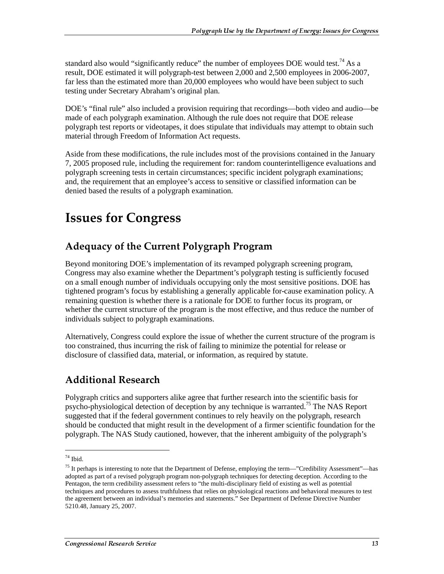standard also would "significantly reduce" the number of employees DOE would test.<sup>74</sup> As a result, DOE estimated it will polygraph-test between 2,000 and 2,500 employees in 2006-2007, far less than the estimated more than 20,000 employees who would have been subject to such testing under Secretary Abraham's original plan.

DOE's "final rule" also included a provision requiring that recordings—both video and audio—be made of each polygraph examination. Although the rule does not require that DOE release polygraph test reports or videotapes, it does stipulate that individuals may attempt to obtain such material through Freedom of Information Act requests.

Aside from these modifications, the rule includes most of the provisions contained in the January 7, 2005 proposed rule, including the requirement for: random counterintelligence evaluations and polygraph screening tests in certain circumstances; specific incident polygraph examinations; and, the requirement that an employee's access to sensitive or classified information can be denied based the results of a polygraph examination.

### **Issues for Congress**

### Adequacy of the Current Polygraph Program

Beyond monitoring DOE's implementation of its revamped polygraph screening program, Congress may also examine whether the Department's polygraph testing is sufficiently focused on a small enough number of individuals occupying only the most sensitive positions. DOE has tightened program's focus by establishing a generally applicable for-cause examination policy. A remaining question is whether there is a rationale for DOE to further focus its program, or whether the current structure of the program is the most effective, and thus reduce the number of individuals subject to polygraph examinations.

Alternatively, Congress could explore the issue of whether the current structure of the program is too constrained, thus incurring the risk of failing to minimize the potential for release or disclosure of classified data, material, or information, as required by statute.

### Additional Research

Polygraph critics and supporters alike agree that further research into the scientific basis for psycho-physiological detection of deception by any technique is warranted.<sup>75</sup> The NAS Report suggested that if the federal government continues to rely heavily on the polygraph, research should be conducted that might result in the development of a firmer scientific foundation for the polygraph. The NAS Study cautioned, however, that the inherent ambiguity of the polygraph's

 $74$  Ibid.

 $<sup>75</sup>$  It perhaps is interesting to note that the Department of Defense, employing the term—"Credibility Assessment"—has</sup> adopted as part of a revised polygraph program non-polygraph techniques for detecting deception. According to the Pentagon, the term credibility assessment refers to "the multi-disciplinary field of existing as well as potential techniques and procedures to assess truthfulness that relies on physiological reactions and behavioral measures to test the agreement between an individual's memories and statements." See Department of Defense Directive Number 5210.48, January 25, 2007.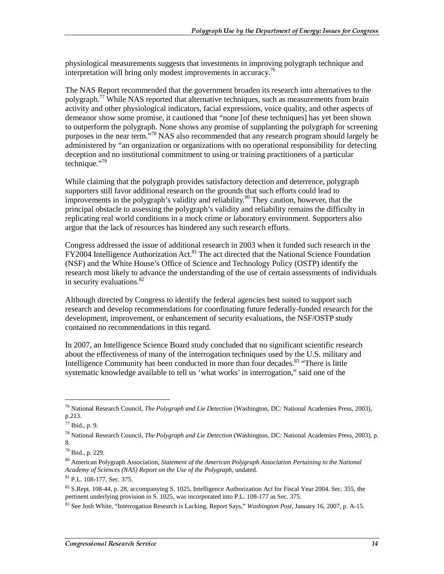physiological measurements suggests that investments in improving polygraph technique and interpretation will bring only modest improvements in accuracy.<sup>76</sup>

The NAS Report recommended that the government broaden its research into alternatives to the polygraph.77 While NAS reported that alternative techniques, such as measurements from brain activity and other physiological indicators, facial expressions, voice quality, and other aspects of demeanor show some promise, it cautioned that "none [of these techniques] has yet been shown to outperform the polygraph. None shows any promise of supplanting the polygraph for screening purposes in the near term."78 NAS also recommended that any research program should largely be administered by "an organization or organizations with no operational responsibility for detecting deception and no institutional commitment to using or training practitioners of a particular technique."79

While claiming that the polygraph provides satisfactory detection and deterrence, polygraph supporters still favor additional research on the grounds that such efforts could lead to improvements in the polygraph's validity and reliability.<sup>80</sup> They caution, however, that the principal obstacle to assessing the polygraph's validity and reliability remains the difficulty in replicating real world conditions in a mock crime or laboratory environment. Supporters also argue that the lack of resources has hindered any such research efforts.

Congress addressed the issue of additional research in 2003 when it funded such research in the  $FY2004$  Intelligence Authorization Act.<sup>81</sup> The act directed that the National Science Foundation (NSF) and the White House's Office of Science and Technology Policy (OSTP) identify the research most likely to advance the understanding of the use of certain assessments of individuals in security evaluations.<sup>82</sup>

Although directed by Congress to identify the federal agencies best suited to support such research and develop recommendations for coordinating future federally-funded research for the development, improvement, or enhancement of security evaluations, the NSF/OSTP study contained no recommendations in this regard.

In 2007, an Intelligence Science Board study concluded that no significant scientific research about the effectiveness of many of the interrogation techniques used by the U.S. military and Intelligence Community has been conducted in more than four decades.<sup>83</sup> "There is little systematic knowledge available to tell us 'what works' in interrogation," said one of the

<sup>76</sup> National Research Council, *The Polygraph and Lie Detection* (Washington, DC: National Academies Press, 2003), p.213.

 $77$  Ibid., p. 9.

<sup>78</sup> National Research Council, *The Polygraph and Lie Detection* (Washington, DC: National Academies Press, 2003), p. 8.

<sup>79</sup> Ibid., p. 229.

<sup>80</sup> American Polygraph Association, *Statement of the American Polygraph Association Pertaining to the National Academy of Sciences (NAS) Report on the Use of the Polygraph,* undated.

<sup>81</sup> P.L. 108-177, Sec. 375.

 $82$  S.Rept. 108-44, p. 28, accompanying S. 1025, Intelligence Authorization Act for Fiscal Year 2004. Sec. 355, the pertinent underlying provision in S. 1025, was incorporated into P.L. 108-177 as Sec. 375.

<sup>83</sup> See Josh White, "Interrogation Research is Lacking, Report Says," *Washington Post*, January 16, 2007, p. A-15.